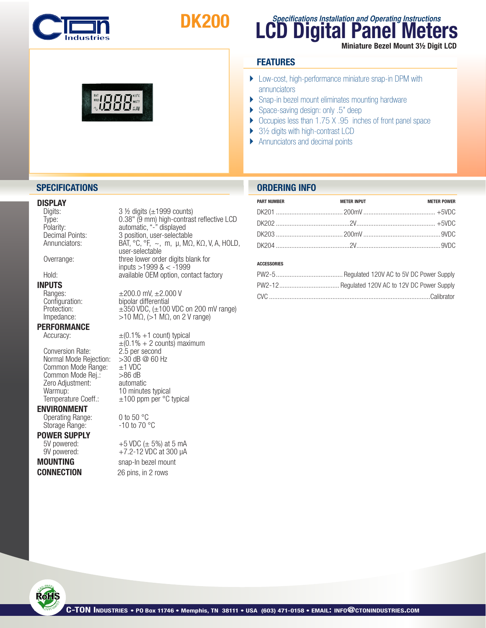

**WALD DIE KOOR** 

# DK200

### **LCD Digital Panel Meters Specifications Installation and Operating Instructions** Miniature Bezel Mount 3½ Digit LCD

#### **FEATURES**

- ▶ Low-cost, high-performance miniature snap-in DPM with annunciators
- } Snap-in bezel mount eliminates mounting hardware
- ▶ Space-saving design: only .5" deep
- Occupies less than 1.75 X .95 inches of front panel space
- ▶ 3½ digits with high-contrast LCD
- } Annunciators and decimal points

### **DISPLAY**<br>Digits:

### **INPUTS**<br>
Ranges:

## **PERFORMANCE**<br>Accuracy:

Conversion Rate: 2.5 per second<br>Normal Mode Rejection: > 30 dB @ 60 Hz Normal Mode Rejection:  $>30$  dB<br>Common Mode Range:  $\pm 1$  VDC Common Mode Range:  $\pm$ 1 VDC<br>Common Mode Rei.: >86 dB Common Mode Rej.:  $>86$  dB<br>Zero Adjustment: automatic Zero Adjustment:<br>Warmup: Warmup:  $10$  minutes typical<br>Temperature Coeff.:  $\pm 100$  ppm per °C

#### ENVIRONMENT

Operating Range: 0 to 50 °C<br>Storage Range: - 10 to 70 °C Storage Range:

**POWER SUPPLY**<br>5V powered:

**CONNECTION** 26 pins, in 2 rows

Digits: 3 ½ digits (±1999 counts)<br>Type: 3 % 0.38" (9 mm) high-contras Type: 0.38" (9 mm) high-contrast reflective LCD<br>Polarity: automatic, "-" displayed Polarity: automatic, "-" displayed<br>Decimal Points: 3 position, user-selectab Decimal Points:  $\begin{array}{ccc} 3 \text{ position, user-selectable} \\ \text{Annunciators:} \end{array}$ Annunciators: BAT,  ${}^{\circ}C$ ,  ${}^{\circ}F$ ,  $\sim$ , m,  $\mu$ , M $\Omega$ , K $\Omega$ , V, A, HOLD, user-selectable<br>Overrange: three lower order digits blank for Overrange: three lower order digits blank for<br>
inputs >1999 & < -1999<br>
Hold: available OEM option, contact factory available OEM option, contact factory

Ranges:  $±200.0$  mV,  $±2.000$  V<br>Configuration: bipolar differential Configuration: bipolar differential<br>Protection:  $\pm 350 \text{ VDC}, (\pm 100$  $\pm$ 350 VDC, ( $\pm$ 100 VDC on 200 mV range) Impedance:  $>10$  MΩ,  $(>1$  MΩ, on 2 V range)

> $\pm (0.1\% +1$  count) typical  $\pm (0.1\% + 2 \text{ counts})$  maximum<br>2.5 per second  $±100$  ppm per  $°C$  typical

+5 VDC ( $\pm$  5%) at 5 mA 9V powered:  $+7.2-12$  VDC at 300  $\mu$ A **MOUNTING** snap-In bezel mount

### **SPECIFICATIONS ORDERING INFO**

| <b>PART NUMBER</b> |                    |                    |
|--------------------|--------------------|--------------------|
|                    | <b>METER INPUT</b> | <b>METER POWER</b> |
|                    |                    |                    |
|                    |                    |                    |
|                    |                    |                    |
|                    |                    |                    |

#### ACCESSORIES